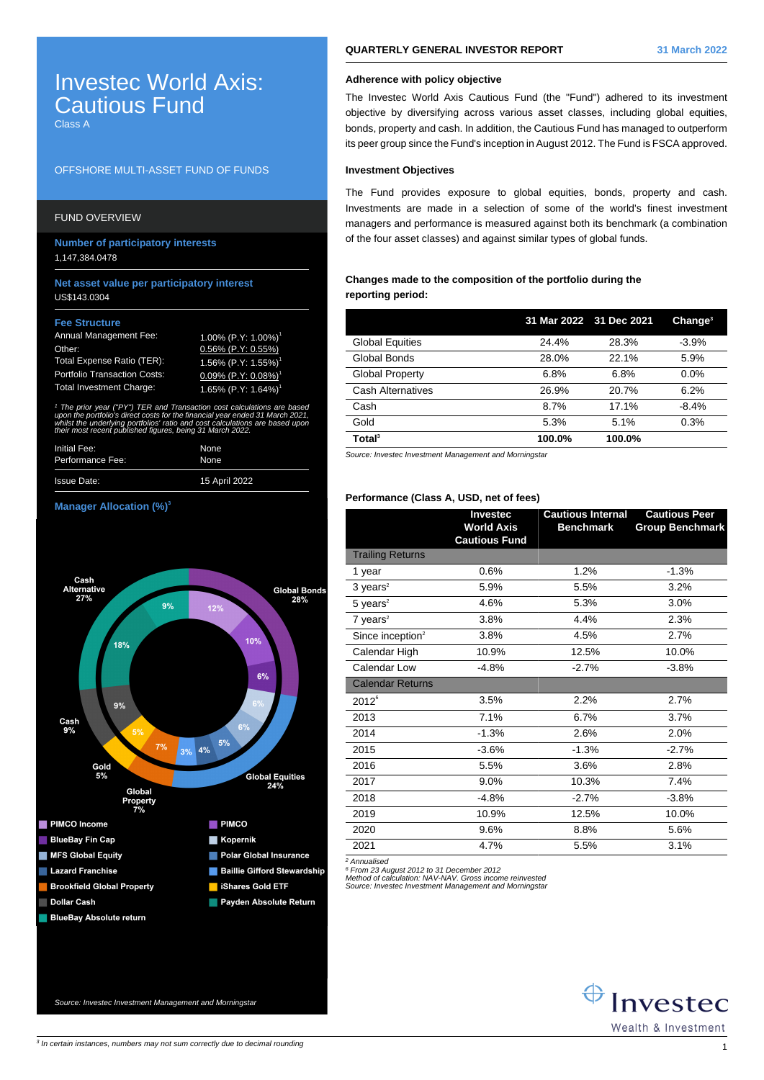# Investec World Axis: Cautious Fund

Class A

## OFFSHORE MULTI-ASSET FUND OF FUNDS

# FUND OVERVIEW

**Number of participatory interests** 1,147,384.0478

### **Net asset value per participatory interest** US\$143.0304

#### **Fee Structure**

| Annual Management Fee:              | $1.00\%$ (P.Y: 1.00%) <sup>1</sup>     |
|-------------------------------------|----------------------------------------|
| Other:                              | $0.56\%$ (P.Y: 0.55%)                  |
| Total Expense Ratio (TER):          | $1.56\%$ (P.Y: 1.55%) <sup>1</sup>     |
| <b>Portfolio Transaction Costs:</b> | $0.09\%$ (P.Y: $0.08\%$ ) <sup>1</sup> |
| <b>Total Investment Charge:</b>     | 1.65% $(P.Y: 1.64%)$ <sup>1</sup>      |

1 The prior year ("PY") TER and Transaction cost calculations are based upon the portfolio's direct costs for the financial year ended 31 March 2021, whilst the underlying portfolios' ratio and cost calculations are based upor. their most recent published figures, being 31 March 2022.

| Initial Fee:       | None          |
|--------------------|---------------|
| Performance Fee:   | None          |
| <b>Issue Date:</b> | 15 April 2022 |

#### **Manager Allocation (%)<sup>3</sup>**



## **QUARTERLY GENERAL INVESTOR REPORT 31 March 2022**

# **Adherence with policy objective**

The Investec World Axis Cautious Fund (the "Fund") adhered to its investment objective by diversifying across various asset classes, including global equities, bonds, property and cash. In addition, the Cautious Fund has managed to outperform its peer group since the Fund's inception in August 2012. The Fund is FSCA approved.

## **Investment Objectives**

The Fund provides exposure to global equities, bonds, property and cash. Investments are made in a selection of some of the world's finest investment managers and performance is measured against both its benchmark (a combination of the four asset classes) and against similar types of global funds.

## **Changes made to the composition of the portfolio during the reporting period:**

|                        | 31 Mar 2022 31 Dec 2021 |        | Change <sup>3</sup> |
|------------------------|-------------------------|--------|---------------------|
| <b>Global Equities</b> | 24.4%                   | 28.3%  | $-3.9%$             |
| Global Bonds           | 28.0%                   | 22.1%  | 5.9%                |
| <b>Global Property</b> | 6.8%                    | 6.8%   | $0.0\%$             |
| Cash Alternatives      | 26.9%                   | 20.7%  | 6.2%                |
| Cash                   | 8.7%                    | 17.1%  | $-8.4%$             |
| Gold                   | 5.3%                    | 5.1%   | 0.3%                |
| Total <sup>3</sup>     | 100.0%                  | 100.0% |                     |

Source: Investec Investment Management and Morningstar

# **Performance (Class A, USD, net of fees)**

|                              | <b>Investec</b><br><b>World Axis</b><br><b>Cautious Fund</b> | <b>Cautious Internal</b><br><b>Benchmark</b> | <b>Cautious Peer</b><br><b>Group Benchmark</b> |
|------------------------------|--------------------------------------------------------------|----------------------------------------------|------------------------------------------------|
| <b>Trailing Returns</b>      |                                                              |                                              |                                                |
| 1 year                       | 0.6%                                                         | 1.2%                                         | $-1.3%$                                        |
| $3 \text{ years}^2$          | 5.9%                                                         | 5.5%                                         | 3.2%                                           |
| $5$ years <sup>2</sup>       | 4.6%                                                         | 5.3%                                         | 3.0%                                           |
| $7$ years <sup>2</sup>       | 3.8%                                                         | 4.4%                                         | 2.3%                                           |
| Since inception <sup>2</sup> | 3.8%                                                         | 4.5%                                         | 2.7%                                           |
| Calendar High                | 10.9%                                                        | 12.5%                                        | 10.0%                                          |
| Calendar Low                 | $-4.8%$                                                      | $-2.7%$                                      | $-3.8%$                                        |
| <b>Calendar Returns</b>      |                                                              |                                              |                                                |
| $2012^6$                     | 3.5%                                                         | 2.2%                                         | 2.7%                                           |
| 2013                         | 7.1%                                                         | 6.7%                                         | 3.7%                                           |
| 2014                         | $-1.3%$                                                      | 2.6%                                         | 2.0%                                           |
| 2015                         | $-3.6%$                                                      | $-1.3%$                                      | $-2.7%$                                        |
| 2016                         | 5.5%                                                         | 3.6%                                         | 2.8%                                           |
| 2017                         | 9.0%                                                         | 10.3%                                        | 7.4%                                           |
| 2018                         | $-4.8%$                                                      | $-2.7%$                                      | $-3.8%$                                        |
| 2019                         | 10.9%                                                        | 12.5%                                        | 10.0%                                          |
| 2020                         | 9.6%                                                         | 8.8%                                         | 5.6%                                           |
| 2021                         | 4.7%                                                         | 5.5%                                         | 3.1%                                           |
|                              |                                                              |                                              |                                                |

2 Annualised

<sup>6</sup> From 23 August 2012 to 31 December 2012<br>Method of calculation: NAV-NAV. Gross income reinvested<br>Source: Investec Investment Management and Morningstai



Source: Investec Investment Management and Morningstar